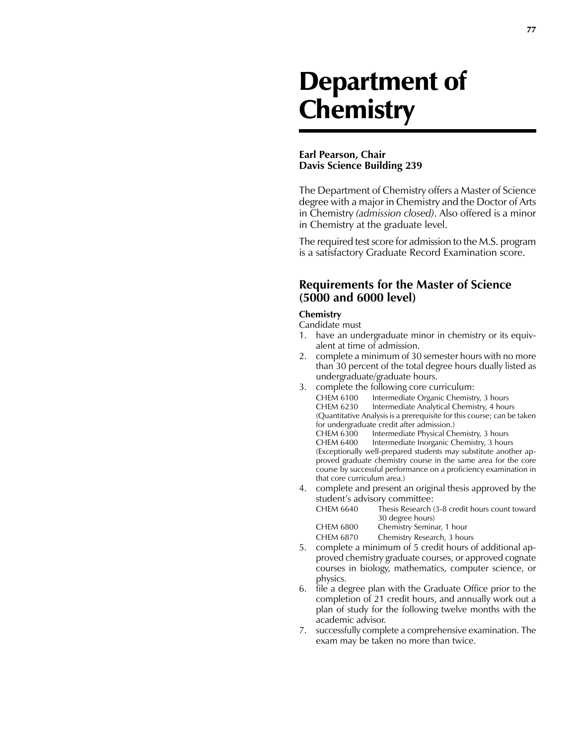# Department of **Chemistry**

#### **Earl Pearson, Chair Davis Science Building 239**

The Department of Chemistry offers a Master of Science degree with a major in Chemistry and the Doctor of Arts in Chemistry *(admission closed)*. Also offered is a minor in Chemistry at the graduate level.

The required test score for admission to the M.S. program is a satisfactory Graduate Record Examination score.

## **Requirements for the Master of Science (5000 and 6000 level)**

### **Chemistry**

Candidate must

- 1. have an undergraduate minor in chemistry or its equivalent at time of admission.
- 2. complete a minimum of 30 semester hours with no more than 30 percent of the total degree hours dually listed as undergraduate/graduate hours.
- 3. complete the following core curriculum: CHEM 6100 Intermediate Organic Chemistry, 3 hours CHEM 6230 Intermediate Analytical Chemistry, 4 hours (Quantitative Analysis is a prerequisite for this course; can be taken for undergraduate credit after admission.) Intermediate Physical Chemistry, 3 hours CHEM 6400 Intermediate Inorganic Chemistry, 3 hours (Exceptionally well-prepared students may substitute another approved graduate chemistry course in the same area for the core course by successful performance on a proficiency examination in that core curriculum area.)
- 4. complete and present an original thesis approved by the student's advisory committee:

| CHEM 6640 | Thesis Research (3-8 credit hours count toward<br>30 degree hours) |
|-----------|--------------------------------------------------------------------|
| CHEM 6800 | Chemistry Seminar, 1 hour                                          |
| CHEM 6870 | Chemistry Research, 3 hours                                        |

- 5. complete a minimum of 5 credit hours of additional approved chemistry graduate courses, or approved cognate courses in biology, mathematics, computer science, or physics.
- 6. file a degree plan with the Graduate Office prior to the completion of 21 credit hours, and annually work out a plan of study for the following twelve months with the academic advisor.
- 7. successfully complete a comprehensive examination. The exam may be taken no more than twice.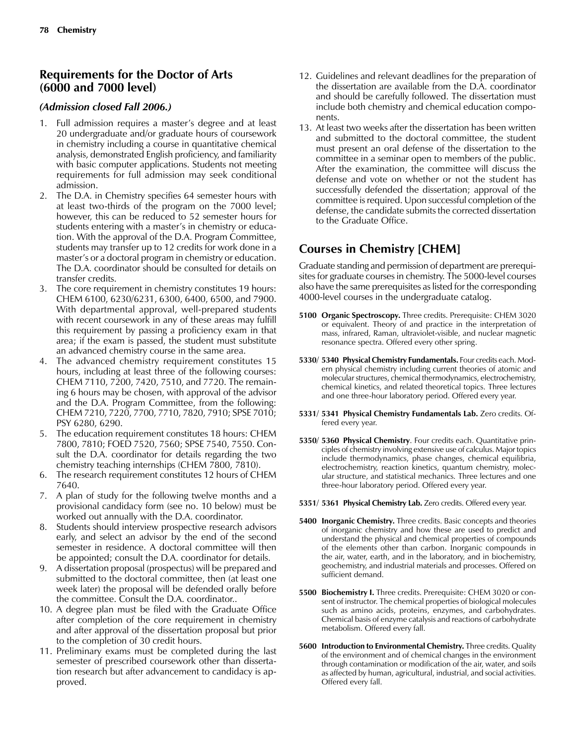## **Requirements for the Doctor of Arts (6000 and 7000 level)**

#### *(Admission closed Fall 2006.)*

- 1. Full admission requires a master's degree and at least 20 undergraduate and/or graduate hours of coursework in chemistry including a course in quantitative chemical analysis, demonstrated English proficiency, and familiarity with basic computer applications. Students not meeting requirements for full admission may seek conditional admission.
- 2. The D.A. in Chemistry specifies 64 semester hours with at least two-thirds of the program on the 7000 level; however, this can be reduced to 52 semester hours for students entering with a master's in chemistry or education. With the approval of the D.A. Program Committee, students may transfer up to 12 credits for work done in a master's or a doctoral program in chemistry or education. The D.A. coordinator should be consulted for details on transfer credits.
- 3. The core requirement in chemistry constitutes 19 hours: CHEM 6100, 6230/6231, 6300, 6400, 6500, and 7900. With departmental approval, well-prepared students with recent coursework in any of these areas may fulfill this requirement by passing a proficiency exam in that area; if the exam is passed, the student must substitute an advanced chemistry course in the same area.
- 4. The advanced chemistry requirement constitutes 15 hours, including at least three of the following courses: CHEM 7110, 7200, 7420, 7510, and 7720. The remaining 6 hours may be chosen, with approval of the advisor and the D.A. Program Committee, from the following: CHEM 7210, 7220, 7700, 7710, 7820, 7910; SPSE 7010; PSY 6280, 6290.
- 5. The education requirement constitutes 18 hours: CHEM 7800, 7810; FOED 7520, 7560; SPSE 7540, 7550. Consult the D.A. coordinator for details regarding the two chemistry teaching internships (CHEM 7800, 7810).
- 6. The research requirement constitutes 12 hours of CHEM 7640.
- 7. A plan of study for the following twelve months and a provisional candidacy form (see no. 10 below) must be worked out annually with the D.A. coordinator.
- 8. Students should interview prospective research advisors early, and select an advisor by the end of the second semester in residence. A doctoral committee will then be appointed; consult the D.A. coordinator for details.
- 9. A dissertation proposal (prospectus) will be prepared and submitted to the doctoral committee, then (at least one week later) the proposal will be defended orally before the committee. Consult the D.A. coordinator..
- 10. A degree plan must be filed with the Graduate Office after completion of the core requirement in chemistry and after approval of the dissertation proposal but prior to the completion of 30 credit hours.
- 11. Preliminary exams must be completed during the last semester of prescribed coursework other than dissertation research but after advancement to candidacy is approved.
- 12. Guidelines and relevant deadlines for the preparation of the dissertation are available from the D.A. coordinator and should be carefully followed. The dissertation must include both chemistry and chemical education components.
- 13. At least two weeks after the dissertation has been written and submitted to the doctoral committee, the student must present an oral defense of the dissertation to the committee in a seminar open to members of the public. After the examination, the committee will discuss the defense and vote on whether or not the student has successfully defended the dissertation; approval of the committee is required. Upon successful completion of the defense, the candidate submits the corrected dissertation to the Graduate Office.

## **Courses in Chemistry [CHEM]**

Graduate standing and permission of department are prerequisites for graduate courses in chemistry. The 5000-level courses also have the same prerequisites as listed for the corresponding 4000-level courses in the undergraduate catalog.

- **5100 Organic Spectroscopy.** Three credits. Prerequisite: CHEM 3020 or equivalent. Theory of and practice in the interpretation of mass, infrared, Raman, ultraviolet-visible, and nuclear magnetic resonance spectra. Offered every other spring.
- **5330/ 5340 Physical Chemistry Fundamentals.** Four credits each. Modern physical chemistry including current theories of atomic and molecular structures, chemical thermodynamics, electrochemistry, chemical kinetics, and related theoretical topics. Three lectures and one three-hour laboratory period. Offered every year.
- **5331/ 5341 Physical Chemistry Fundamentals Lab.** Zero credits. Offered every year.
- **5350/ 5360 Physical Chemistry**. Four credits each. Quantitative principles of chemistry involving extensive use of calculus. Major topics include thermodynamics, phase changes, chemical equilibria, electrochemistry, reaction kinetics, quantum chemistry, molecular structure, and statistical mechanics. Three lectures and one three-hour laboratory period. Offered every year.
- **5351/ 5361 Physical Chemistry Lab.** Zero credits. Offered every year.
- **5400 Inorganic Chemistry.** Three credits. Basic concepts and theories of inorganic chemistry and how these are used to predict and understand the physical and chemical properties of compounds of the elements other than carbon. Inorganic compounds in the air, water, earth, and in the laboratory, and in biochemistry, geochemistry, and industrial materials and processes. Offered on sufficient demand.
- **5500 Biochemistry I.** Three credits. Prerequisite: CHEM 3020 or consent of instructor. The chemical properties of biological molecules such as amino acids, proteins, enzymes, and carbohydrates. Chemical basis of enzyme catalysis and reactions of carbohydrate metabolism. Offered every fall.
- **5600 Introduction to Environmental Chemistry.** Three credits. Quality of the environment and of chemical changes in the environment through contamination or modification of the air, water, and soils as affected by human, agricultural, industrial, and social activities. Offered every fall.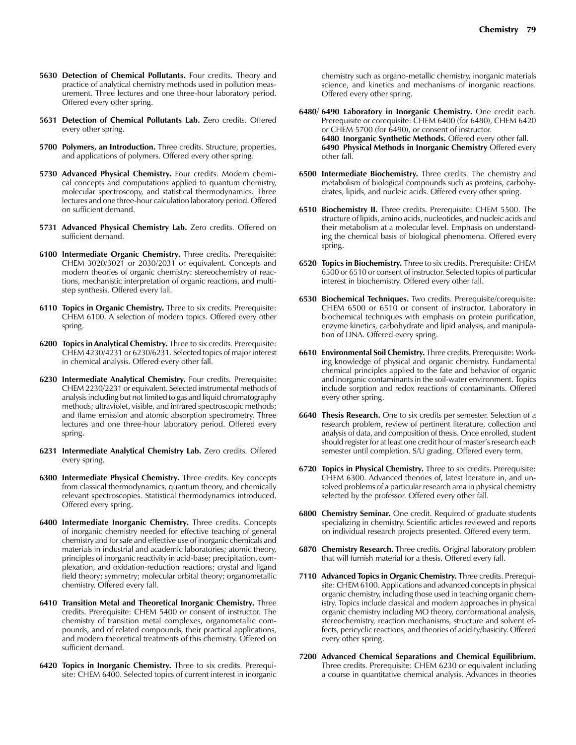- **5630 Detection of Chemical Pollutants.** Four credits. Theory and practice of analytical chemistry methods used in pollution measurement. Three lectures and one three-hour laboratory period. Offered every other spring.
- **5631 Detection of Chemical Pollutants Lab.** Zero credits. Offered every other spring.
- **5700 Polymers, an Introduction.** Three credits. Structure, properties, and applications of polymers. Offered every other spring.
- **5730 Advanced Physical Chemistry.** Four credits. Modern chemical concepts and computations applied to quantum chemistry, molecular spectroscopy, and statistical thermodynamics. Three lectures and one three-hour calculation laboratory period. Offered on sufficient demand.
- **5731 Advanced Physical Chemistry Lab.** Zero credits. Offered on sufficient demand.
- **6100 Intermediate Organic Chemistry.** Three credits. Prerequisite: CHEM 3020/3021 or 2030/2031 or equivalent. Concepts and modern theories of organic chemistry: stereochemistry of reactions, mechanistic interpretation of organic reactions, and multistep synthesis. Offered every fall.
- **6110 Topics in Organic Chemistry.** Three to six credits. Prerequisite: CHEM 6100. A selection of modern topics. Offered every other spring.
- **6200 Topics in Analytical Chemistry.** Three to six credits. Prerequisite: CHEM 4230/4231 or 6230/6231. Selected topics of major interest in chemical analysis. Offered every other fall.
- **6230 Intermediate Analytical Chemistry.** Four credits. Prerequisite: CHEM 2230/2231 or equivalent. Selected instrumental methods of analysis including but not limited to gas and liquid chromatography methods; ultraviolet, visible, and infrared spectroscopic methods; and flame emission and atomic absorption spectrometry. Three lectures and one three-hour laboratory period. Offered every spring.
- **6231 Intermediate Analytical Chemistry Lab.** Zero credits. Offered every spring.
- **6300 Intermediate Physical Chemistry.** Three credits. Key concepts from classical thermodynamics, quantum theory, and chemically relevant spectroscopies. Statistical thermodynamics introduced. Offered every spring.
- **6400 Intermediate Inorganic Chemistry.** Three credits. Concepts of inorganic chemistry needed for effective teaching of general chemistry and for safe and effective use of inorganic chemicals and materials in industrial and academic laboratories; atomic theory, principles of inorganic reactivity in acid-base; precipitation, complexation, and oxidation-reduction reactions; crystal and ligand field theory; symmetry; molecular orbital theory; organometallic chemistry. Offered every fall.
- **6410 Transition Metal and Theoretical Inorganic Chemistry.** Three credits. Prerequisite: CHEM 5400 or consent of instructor. The chemistry of transition metal complexes, organometallic compounds, and of related compounds, their practical applications, and modern theoretical treatments of this chemistry. Offered on sufficient demand.
- **6420 Topics in Inorganic Chemistry.** Three to six credits. Prerequisite: CHEM 6400. Selected topics of current interest in inorganic

chemistry such as organo-metallic chemistry, inorganic materials science, and kinetics and mechanisms of inorganic reactions. Offered every other spring.

- **6480/ 6490 Laboratory in Inorganic Chemistry.** One credit each. Prerequisite or corequisite: CHEM 6400 (for 6480), CHEM 6420 or CHEM 5700 (for 6490), or consent of instructor. **6480 Inorganic Synthetic Methods.** Offered every other fall. **6490 Physical Methods in Inorganic Chemistry** Offered every other fall.
- **6500 Intermediate Biochemistry.** Three credits. The chemistry and metabolism of biological compounds such as proteins, carbohydrates, lipids, and nucleic acids. Offered every other spring.
- **6510 Biochemistry II.** Three credits. Prerequisite: CHEM 5500. The structure of lipids, amino acids, nucleotides, and nucleic acids and their metabolism at a molecular level. Emphasis on understanding the chemical basis of biological phenomena. Offered every spring.
- **6520 Topics in Biochemistry.** Three to six credits. Prerequisite: CHEM 6500 or 6510 or consent of instructor. Selected topics of particular interest in biochemistry. Offered every other fall.
- **6530 Biochemical Techniques.** Two credits. Prerequisite/corequisite: CHEM 6500 or 6510 or consent of instructor. Laboratory in biochemical techniques with emphasis on protein purification, enzyme kinetics, carbohydrate and lipid analysis, and manipulation of DNA. Offered every spring.
- **6610 Environmental Soil Chemistry.** Three credits. Prerequisite: Working knowledge of physical and organic chemistry. Fundamental chemical principles applied to the fate and behavior of organic and inorganic contaminants in the soil-water environment. Topics include sorption and redox reactions of contaminants. Offered every other spring.
- **6640 Thesis Research.** One to six credits per semester. Selection of a research problem, review of pertinent literature, collection and analysis of data, and composition of thesis. Once enrolled, student should register for at least one credit hour of master's research each semester until completion. S/U grading. Offered every term.
- **6720 Topics in Physical Chemistry.** Three to six credits. Prerequisite: CHEM 6300. Advanced theories of, latest literature in, and unsolved problems of a particular research area in physical chemistry selected by the professor. Offered every other fall.
- **6800 Chemistry Seminar.** One credit. Required of graduate students specializing in chemistry. Scientific articles reviewed and reports on individual research projects presented. Offered every term.
- **6870 Chemistry Research.** Three credits. Original laboratory problem that will furnish material for a thesis. Offered every fall.
- **7110 Advanced Topics in Organic Chemistry.** Three credits. Prerequisite: CHEM 6100. Applications and advanced concepts in physical organic chemistry, including those used in teaching organic chemistry. Topics include classical and modern approaches in physical organic chemistry including MO theory, conformational analysis, stereochemistry, reaction mechanisms, structure and solvent effects, pericyclic reactions, and theories of acidity/basicity. Offered every other spring.
- **7200 Advanced Chemical Separations and Chemical Equilibrium.**  Three credits. Prerequisite: CHEM 6230 or equivalent including a course in quantitative chemical analysis. Advances in theories